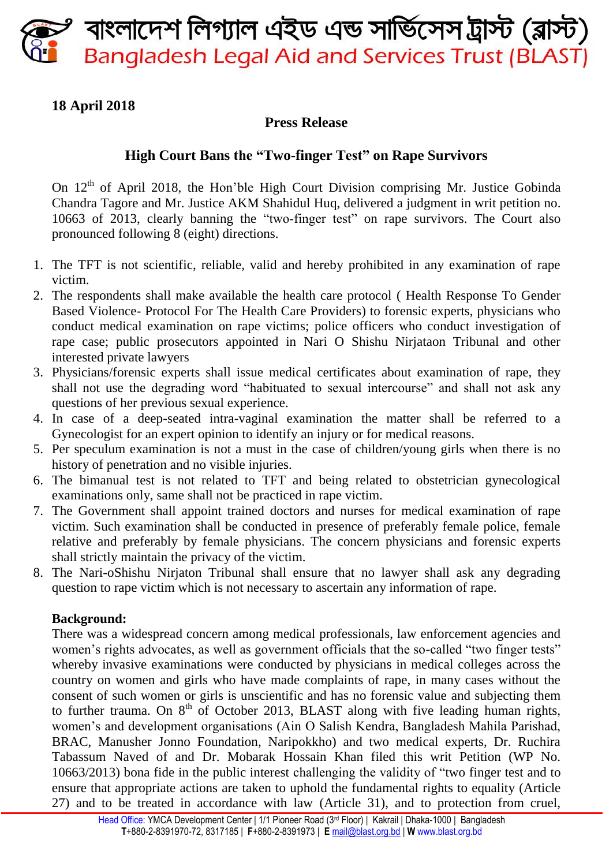বাংলাদেশ লিগ্যাল এইড এন্ড সার্ভিসেস ট্রাস্ট (ব্লাস্ট) **Bangladesh Legal Aid and Services Trust (BLAST)** 

# **18 April 2018**

### **Press Release**

## **High Court Bans the "Two-finger Test" on Rape Survivors**

On  $12<sup>th</sup>$  of April 2018, the Hon'ble High Court Division comprising Mr. Justice Gobinda Chandra Tagore and Mr. Justice AKM Shahidul Huq, delivered a judgment in writ petition no. 10663 of 2013, clearly banning the "two-finger test" on rape survivors. The Court also pronounced following 8 (eight) directions.

- 1. The TFT is not scientific, reliable, valid and hereby prohibited in any examination of rape victim.
- 2. The respondents shall make available the health care protocol ( Health Response To Gender Based Violence- Protocol For The Health Care Providers) to forensic experts, physicians who conduct medical examination on rape victims; police officers who conduct investigation of rape case; public prosecutors appointed in Nari O Shishu Nirjataon Tribunal and other interested private lawyers
- 3. Physicians/forensic experts shall issue medical certificates about examination of rape, they shall not use the degrading word "habituated to sexual intercourse" and shall not ask any questions of her previous sexual experience.
- 4. In case of a deep-seated intra-vaginal examination the matter shall be referred to a Gynecologist for an expert opinion to identify an injury or for medical reasons.
- 5. Per speculum examination is not a must in the case of children/young girls when there is no history of penetration and no visible injuries.
- 6. The bimanual test is not related to TFT and being related to obstetrician gynecological examinations only, same shall not be practiced in rape victim.
- 7. The Government shall appoint trained doctors and nurses for medical examination of rape victim. Such examination shall be conducted in presence of preferably female police, female relative and preferably by female physicians. The concern physicians and forensic experts shall strictly maintain the privacy of the victim.
- 8. The Nari-oShishu Nirjaton Tribunal shall ensure that no lawyer shall ask any degrading question to rape victim which is not necessary to ascertain any information of rape.

#### **Background:**

There was a widespread concern among medical professionals, law enforcement agencies and women's rights advocates, as well as government officials that the so-called "two finger tests" whereby invasive examinations were conducted by physicians in medical colleges across the country on women and girls who have made complaints of rape, in many cases without the consent of such women or girls is unscientific and has no forensic value and subjecting them to further trauma. On  $8<sup>th</sup>$  of October 2013, BLAST along with five leading human rights, women's and development organisations (Ain O Salish Kendra, Bangladesh Mahila Parishad, BRAC, Manusher Jonno Foundation, Naripokkho) and two medical experts, Dr. Ruchira Tabassum Naved of and Dr. Mobarak Hossain Khan filed this writ Petition (WP No. 10663/2013) bona fide in the public interest challenging the validity of "two finger test and to ensure that appropriate actions are taken to uphold the fundamental rights to equality (Article 27) and to be treated in accordance with law (Article 31), and to protection from cruel,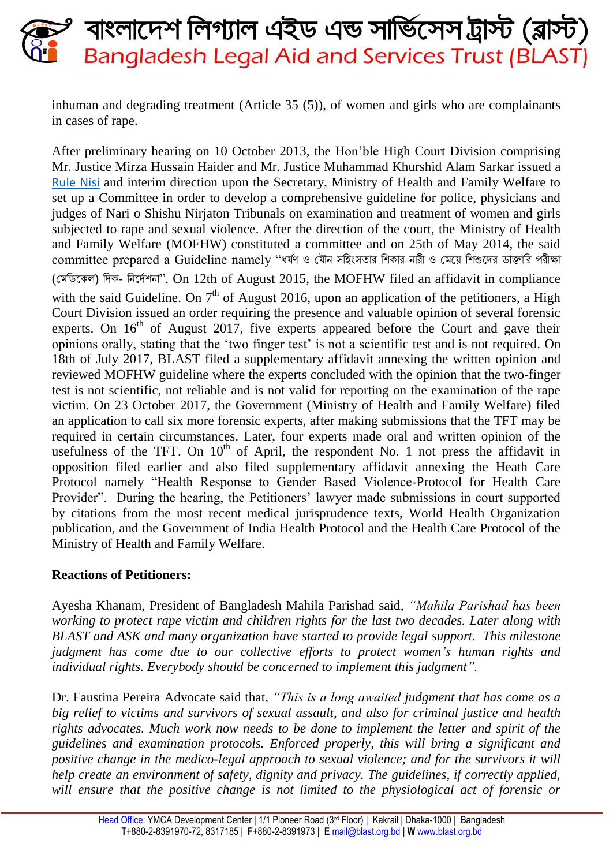# বাংলাদেশ লিগ্যাল এইড এন্ড সার্ভিসেস ট্রাস্ট (ব্লাস্ট) **Bangladesh Legal Aid and Services Trust (BLAST)**

inhuman and degrading treatment (Article 35 (5)), of women and girls who are complainants in cases of rape.

After preliminary hearing on 10 October 2013, the Hon'ble High Court Division comprising Mr. Justice Mirza Hussain Haider and Mr. Justice Muhammad Khurshid Alam Sarkar issued a [Rule Nisi](http://bdpil.org/search/full_view/25) and interim direction upon the Secretary, Ministry of Health and Family Welfare to set up a Committee in order to develop a comprehensive guideline for police, physicians and judges of Nari o Shishu Nirjaton Tribunals on examination and treatment of women and girls subjected to rape and sexual violence. After the direction of the court, the Ministry of Health and Family Welfare (MOFHW) constituted a committee and on 25th of May 2014, the said committee prepared a Guideline namely "ধর্ষণ ও যৌন সহিংসতার শিকার নারী ও মেয়ে শিশুদের ডাক্তারি পরীক্ষা (মেডিকেল) দিক- নির্দেশনা". On 12th of August 2015, the MOFHW filed an affidavit in compliance with the said Guideline. On  $7<sup>th</sup>$  of August 2016, upon an application of the petitioners, a High Court Division issued an order requiring the presence and valuable opinion of several forensic experts. On  $16<sup>th</sup>$  of August 2017, five experts appeared before the Court and gave their opinions orally, stating that the 'two finger test' is not a scientific test and is not required. On 18th of July 2017, BLAST filed a supplementary affidavit annexing the written opinion and reviewed MOFHW guideline where the experts concluded with the opinion that the two-finger test is not scientific, not reliable and is not valid for reporting on the examination of the rape victim. On 23 October 2017, the Government (Ministry of Health and Family Welfare) filed an application to call six more forensic experts, after making submissions that the TFT may be required in certain circumstances. Later, four experts made oral and written opinion of the usefulness of the TFT. On  $10<sup>th</sup>$  of April, the respondent No. 1 not press the affidavit in opposition filed earlier and also filed supplementary affidavit annexing the Heath Care Protocol namely "Health Response to Gender Based Violence-Protocol for Health Care Provider". During the hearing, the Petitioners' lawyer made submissions in court supported by citations from the most recent medical jurisprudence texts, World Health Organization publication, and the Government of India Health Protocol and the Health Care Protocol of the Ministry of Health and Family Welfare.

#### **Reactions of Petitioners:**

Ayesha Khanam, President of Bangladesh Mahila Parishad said, *"Mahila Parishad has been working to protect rape victim and children rights for the last two decades. Later along with BLAST and ASK and many organization have started to provide legal support. This milestone judgment has come due to our collective efforts to protect women's human rights and individual rights. Everybody should be concerned to implement this judgment".*

Dr. Faustina Pereira Advocate said that, *"This is a long awaited judgment that has come as a big relief to victims and survivors of sexual assault, and also for criminal justice and health rights advocates. Much work now needs to be done to implement the letter and spirit of the guidelines and examination protocols. Enforced properly, this will bring a significant and positive change in the medico-legal approach to sexual violence; and for the survivors it will help create an environment of safety, dignity and privacy. The guidelines, if correctly applied,*  will ensure that the positive change is not limited to the physiological act of forensic or